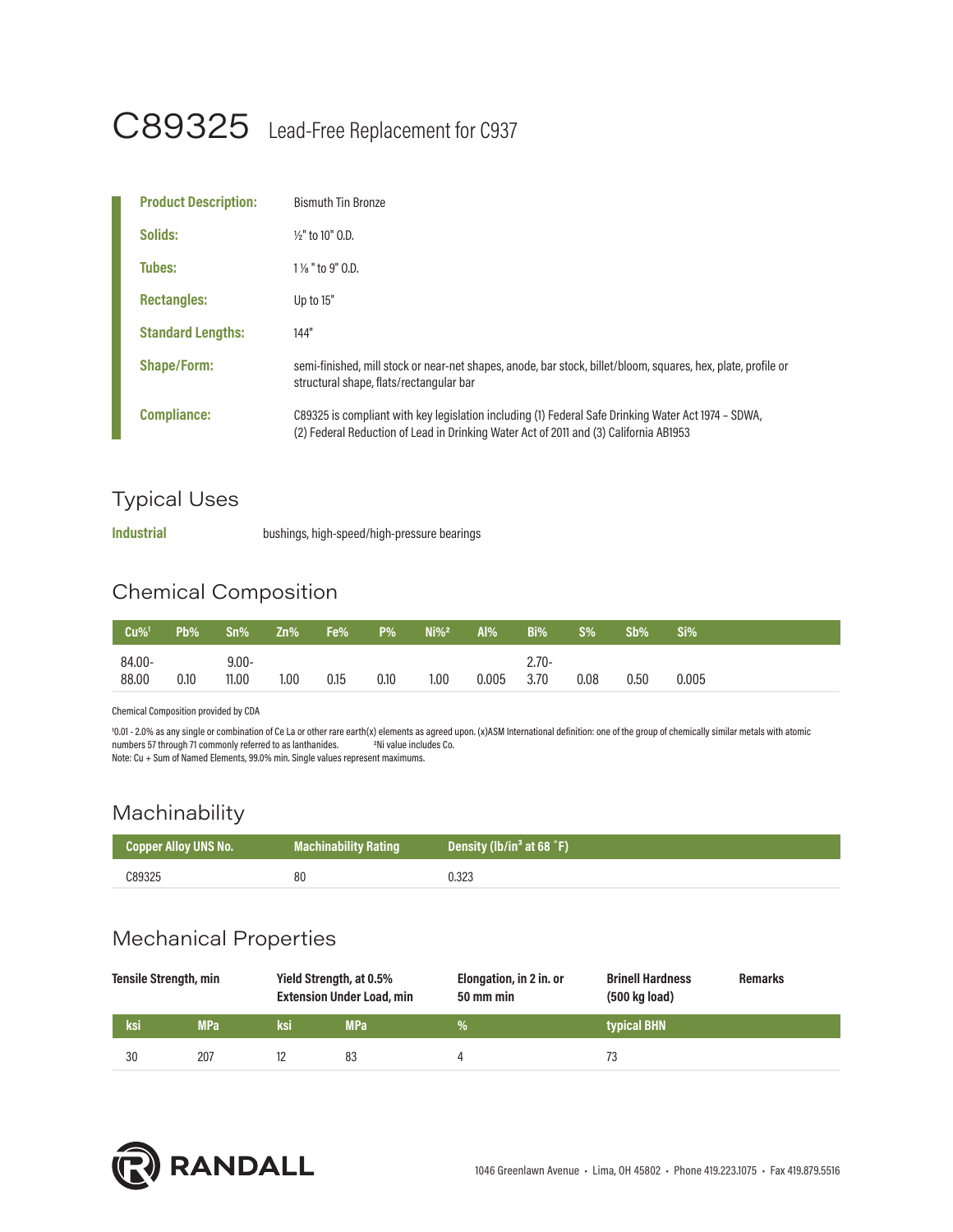# C89325 Lead-Free Replacement for C937

| <b>Product Description:</b> | <b>Bismuth Tin Bronze</b>                                                                                                                                                                    |
|-----------------------------|----------------------------------------------------------------------------------------------------------------------------------------------------------------------------------------------|
| Solids:                     | $\frac{1}{2}$ to 10" O.D.                                                                                                                                                                    |
| Tubes:                      | $1\%$ " to 9" $0.$ D.                                                                                                                                                                        |
| <b>Rectangles:</b>          | Up to 15"                                                                                                                                                                                    |
| <b>Standard Lengths:</b>    | 144"                                                                                                                                                                                         |
| <b>Shape/Form:</b>          | semi-finished, mill stock or near-net shapes, anode, bar stock, billet/bloom, squares, hex, plate, profile or<br>structural shape, flats/rectangular bar                                     |
| <b>Compliance:</b>          | C89325 is compliant with key legislation including (1) Federal Safe Drinking Water Act 1974 - SDWA,<br>(2) Federal Reduction of Lead in Drinking Water Act of 2011 and (3) California AB1953 |

## Typical Uses

**Industrial** bushings, high-speed/high-pressure bearings

# Chemical Composition

| $Cu\%$ <sup>1</sup> | Pb%  | $Sn\%$           | Zn% | Fe%' | <b>P%</b> | $Ni\%2$ | Al%   | Bi%             | $S\%$ | $Sb\%$ | Si% <sup>1</sup> |
|---------------------|------|------------------|-----|------|-----------|---------|-------|-----------------|-------|--------|------------------|
| 84.00-<br>88,00     | 0.10 | $9,00-$<br>11.00 | .00 | 0.15 | 0.10      | 1.00    | 0.005 | $2.70-$<br>3.70 | 0.08  | 0.50   | 0.005            |

Chemical Composition provided by CDA

10.01 - 2.0% as any single or combination of Ce La or other rare earth(x) elements as agreed upon. (x)ASM International definition: one of the group of chemically similar metals with atomic<br>numbers 57 through 71 commonly r numbers 57 through 71 commonly referred to as lanthanides. Note: Cu + Sum of Named Elements, 99.0% min. Single values represent maximums.

#### Machinability

| Copper Alloy UNS No. | <b>Machinability Rating</b> | Density (lb/in <sup>3</sup> at 68 °F) |
|----------------------|-----------------------------|---------------------------------------|
| C89325               | 80                          | 0.323                                 |

## Mechanical Properties

| <b>Tensile Strength, min</b> |            |     | Yield Strength, at 0.5%<br><b>Extension Under Load, min</b> | Elongation, in 2 in. or<br>50 mm min | <b>Brinell Hardness</b><br>(500 kg load) | <b>Remarks</b> |
|------------------------------|------------|-----|-------------------------------------------------------------|--------------------------------------|------------------------------------------|----------------|
| ksi                          | <b>MPa</b> | ksi | <b>MPa</b>                                                  | ⅛                                    | typical BHN                              |                |
| 30                           | 207        |     | 83                                                          |                                      | 73                                       |                |